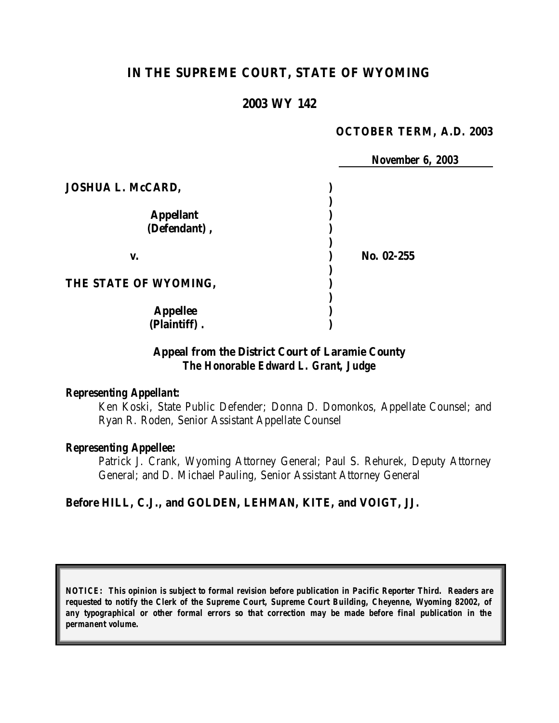# **IN THE SUPREME COURT, STATE OF WYOMING**

# **2003 WY 142**

### **OCTOBER TERM, A.D. 2003**

|                          | <b>November 6, 2003</b> |  |
|--------------------------|-------------------------|--|
| <b>JOSHUA L. McCARD,</b> |                         |  |
|                          |                         |  |
| <b>Appellant</b>         |                         |  |
| (Defendant),             |                         |  |
| V.                       | No. 02-255              |  |
| THE STATE OF WYOMING,    |                         |  |
| <b>Appellee</b>          |                         |  |
| (Plaintiff).             |                         |  |

# **Appeal from the District Court of Laramie County** *The Honorable Edward L. Grant, Judge*

### *Representing Appellant:*

Ken Koski, State Public Defender; Donna D. Domonkos, Appellate Counsel; and Ryan R. Roden, Senior Assistant Appellate Counsel

### *Representing Appellee:*

Patrick J. Crank, Wyoming Attorney General; Paul S. Rehurek, Deputy Attorney General; and D. Michael Pauling, Senior Assistant Attorney General

### **Before HILL, C.J., and GOLDEN, LEHMAN, KITE, and VOIGT, JJ.**

*NOTICE: This opinion is subject to formal revision before publication in Pacific Reporter Third. Readers are requested to notify the Clerk of the Supreme Court, Supreme Court Building, Cheyenne, Wyoming 82002, of any typographical or other formal errors so that correction may be made before final publication in the permanent volume.*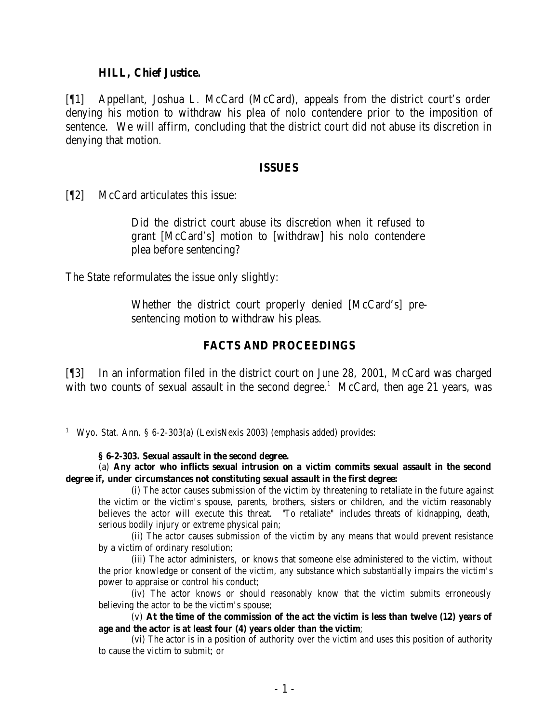#### **HILL, Chief Justice.**

[¶1] Appellant, Joshua L. McCard (McCard), appeals from the district court's order denying his motion to withdraw his plea of nolo contendere prior to the imposition of sentence. We will affirm, concluding that the district court did not abuse its discretion in denying that motion.

#### **ISSUES**

[¶2] McCard articulates this issue:

Did the district court abuse its discretion when it refused to grant [McCard's] motion to [withdraw] his nolo contendere plea before sentencing?

The State reformulates the issue only slightly:

Whether the district court properly denied [McCard's] presentencing motion to withdraw his pleas.

## **FACTS AND PROCEEDINGS**

[¶3] In an information filed in the district court on June 28, 2001, McCard was charged with two counts of sexual assault in the second degree.<sup>1</sup> McCard, then age 21 years, was

 <sup>1</sup> Wyo. Stat. Ann. § 6-2-303(a) (LexisNexis 2003) (emphasis added) provides:

**<sup>§ 6-2-303.</sup> Sexual assault in the second degree.**

<sup>(</sup>a) **Any actor who inflicts sexual intrusion on a victim commits sexual assault in the second degree if, under circumstances not constituting sexual assault in the first degree:**

<sup>(</sup>i) The actor causes submission of the victim by threatening to retaliate in the future against the victim or the victim's spouse, parents, brothers, sisters or children, and the victim reasonably believes the actor will execute this threat. "To retaliate" includes threats of kidnapping, death, serious bodily injury or extreme physical pain;

<sup>(</sup>ii) The actor causes submission of the victim by any means that would prevent resistance by a victim of ordinary resolution;

<sup>(</sup>iii) The actor administers, or knows that someone else administered to the victim, without the prior knowledge or consent of the victim, any substance which substantially impairs the victim's power to appraise or control his conduct;

<sup>(</sup>iv) The actor knows or should reasonably know that the victim submits erroneously believing the actor to be the victim's spouse;

<sup>(</sup>v) **At the time of the commission of the act the victim is less than twelve (12) years of age and the actor is at least four (4) years older than the victim**;

<sup>(</sup>vi) The actor is in a position of authority over the victim and uses this position of authority to cause the victim to submit; or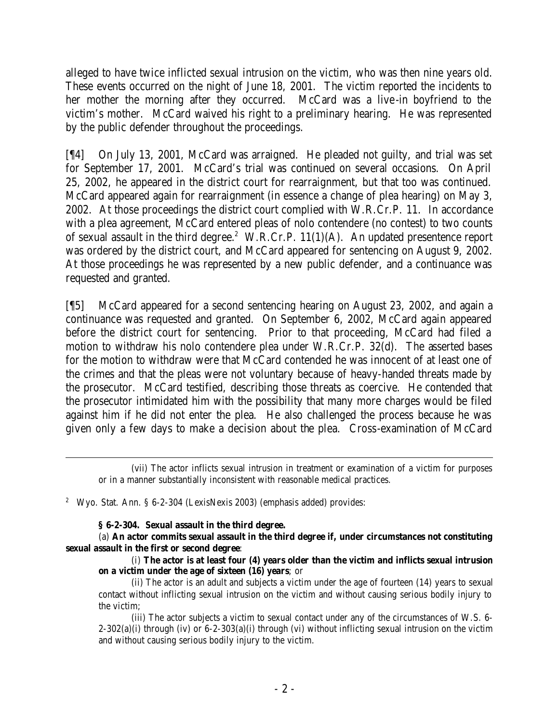alleged to have twice inflicted sexual intrusion on the victim, who was then nine years old. These events occurred on the night of June 18, 2001. The victim reported the incidents to her mother the morning after they occurred. McCard was a live-in boyfriend to the victim's mother. McCard waived his right to a preliminary hearing. He was represented by the public defender throughout the proceedings.

[¶4] On July 13, 2001, McCard was arraigned. He pleaded not guilty, and trial was set for September 17, 2001. McCard's trial was continued on several occasions. On April 25, 2002, he appeared in the district court for rearraignment, but that too was continued. McCard appeared again for rearraignment (in essence a change of plea hearing) on May 3, 2002. At those proceedings the district court complied with W.R.Cr.P. 11. In accordance with a plea agreement, McCard entered pleas of nolo contendere (no contest) to two counts of sexual assault in the third degree.<sup>2</sup> W.R.Cr.P.  $11(1)(A)$ . An updated presentence report was ordered by the district court, and McCard appeared for sentencing on August 9, 2002. At those proceedings he was represented by a new public defender, and a continuance was requested and granted.

[¶5] McCard appeared for a second sentencing hearing on August 23, 2002, and again a continuance was requested and granted. On September 6, 2002, McCard again appeared before the district court for sentencing. Prior to that proceeding, McCard had filed a motion to withdraw his nolo contendere plea under W.R.Cr.P. 32(d). The asserted bases for the motion to withdraw were that McCard contended he was innocent of at least one of the crimes and that the pleas were not voluntary because of heavy-handed threats made by the prosecutor. McCard testified, describing those threats as coercive. He contended that the prosecutor intimidated him with the possibility that many more charges would be filed against him if he did not enter the plea. He also challenged the process because he was given only a few days to make a decision about the plea. Cross-examination of McCard

<sup>2</sup> Wyo. Stat. Ann. § 6-2-304 (LexisNexis 2003) (emphasis added) provides:

### **§ 6-2-304. Sexual assault in the third degree.**

(a) **An actor commits sexual assault in the third degree if, under circumstances not constituting sexual assault in the first or second degree**:

(i) **The actor is at least four (4) years older than the victim and inflicts sexual intrusion on a victim under the age of sixteen (16) years**; or

(ii) The actor is an adult and subjects a victim under the age of fourteen (14) years to sexual contact without inflicting sexual intrusion on the victim and without causing serious bodily injury to the victim;

(iii) The actor subjects a victim to sexual contact under any of the circumstances of W.S. 6-  $2-302(a)$ (i) through (iv) or 6-2-303(a)(i) through (vi) without inflicting sexual intrusion on the victim and without causing serious bodily injury to the victim.

<sup>(</sup>vii) The actor inflicts sexual intrusion in treatment or examination of a victim for purposes or in a manner substantially inconsistent with reasonable medical practices.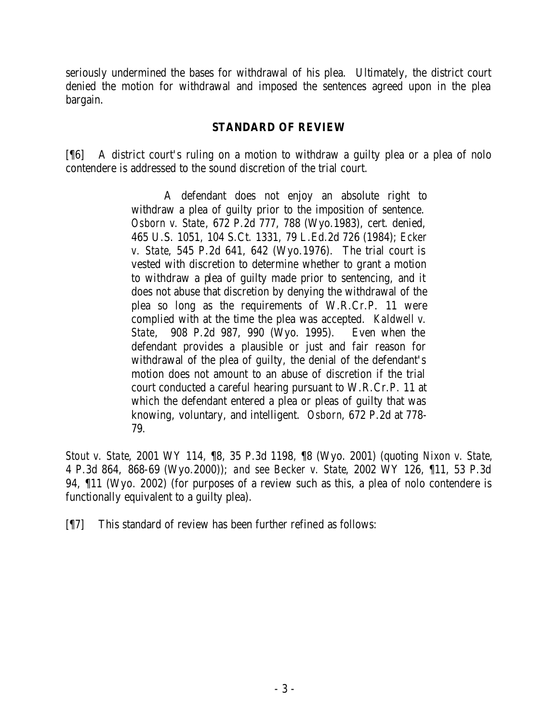seriously undermined the bases for withdrawal of his plea. Ultimately, the district court denied the motion for withdrawal and imposed the sentences agreed upon in the plea bargain.

# **STANDARD OF REVIEW**

[¶6] A district court's ruling on a motion to withdraw a guilty plea or a plea of nolo contendere is addressed to the sound discretion of the trial court.

> A defendant does not enjoy an absolute right to withdraw a plea of guilty prior to the imposition of sentence. *Osborn v. State*, 672 P.2d 777, 788 (Wyo.1983), cert. denied, 465 U.S. 1051, 104 S.Ct. 1331, 79 L.Ed.2d 726 (1984); *Ecker v. State*, 545 P.2d 641, 642 (Wyo.1976). The trial court is vested with discretion to determine whether to grant a motion to withdraw a plea of guilty made prior to sentencing, and it does not abuse that discretion by denying the withdrawal of the plea so long as the requirements of W.R.Cr.P. 11 were complied with at the time the plea was accepted. *Kaldwell v. State*, 908 P.2d 987, 990 (Wyo. 1995). Even when the defendant provides a plausible or just and fair reason for withdrawal of the plea of guilty, the denial of the defendant's motion does not amount to an abuse of discretion if the trial court conducted a careful hearing pursuant to W.R.Cr.P. 11 at which the defendant entered a plea or pleas of guilty that was knowing, voluntary, and intelligent. *Osborn*, 672 P.2d at 778- 79.

*Stout v. State*, 2001 WY 114, ¶8, 35 P.3d 1198, ¶8 (Wyo. 2001) (quoting *Nixon v. State*, 4 P.3d 864, 868-69 (Wyo.2000)); *and see Becker v. State*, 2002 WY 126, ¶11, 53 P.3d 94, ¶11 (Wyo. 2002) (for purposes of a review such as this, a plea of nolo contendere is functionally equivalent to a guilty plea).

[¶7] This standard of review has been further refined as follows: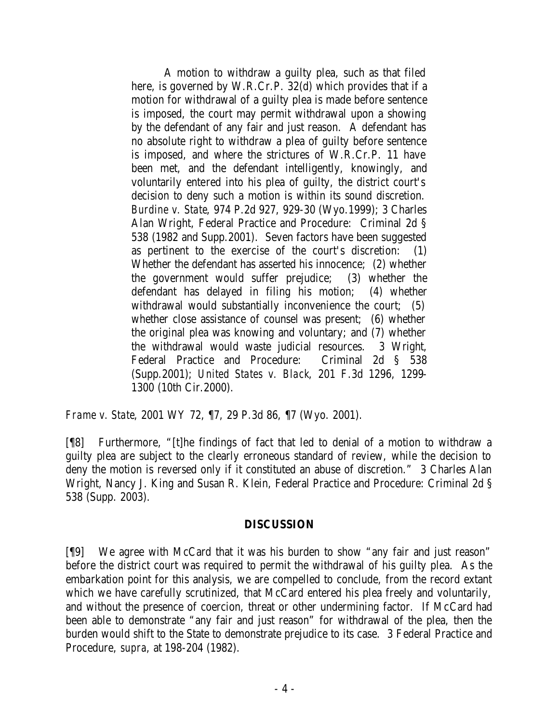A motion to withdraw a guilty plea, such as that filed here, is governed by W.R.Cr.P. 32(d) which provides that if a motion for withdrawal of a guilty plea is made before sentence is imposed, the court may permit withdrawal upon a showing by the defendant of any fair and just reason. A defendant has no absolute right to withdraw a plea of guilty before sentence is imposed, and where the strictures of W.R.Cr.P. 11 have been met, and the defendant intelligently, knowingly, and voluntarily entered into his plea of guilty, the district court's decision to deny such a motion is within its sound discretion. *Burdine v. State*, 974 P.2d 927, 929-30 (Wyo.1999); 3 Charles Alan Wright, Federal Practice and Procedure: Criminal 2d § 538 (1982 and Supp.2001). Seven factors have been suggested as pertinent to the exercise of the court's discretion: (1) Whether the defendant has asserted his innocence; (2) whether the government would suffer prejudice; (3) whether the defendant has delayed in filing his motion; (4) whether withdrawal would substantially inconvenience the court; (5) whether close assistance of counsel was present; (6) whether the original plea was knowing and voluntary; and (7) whether the withdrawal would waste judicial resources. 3 Wright, Federal Practice and Procedure: Criminal 2d § 538 (Supp.2001); *United States v. Black*, 201 F.3d 1296, 1299- 1300 (10th Cir.2000).

*Frame v. State*, 2001 WY 72, ¶7, 29 P.3d 86, ¶7 (Wyo. 2001).

[¶8] Furthermore, "[t]he findings of fact that led to denial of a motion to withdraw a guilty plea are subject to the clearly erroneous standard of review, while the decision to deny the motion is reversed only if it constituted an abuse of discretion." 3 Charles Alan Wright, Nancy J. King and Susan R. Klein, Federal Practice and Procedure: Criminal 2d § 538 (Supp. 2003).

## **DISCUSSION**

[¶9] We agree with McCard that it was his burden to show "any fair and just reason" before the district court was required to permit the withdrawal of his guilty plea. As the embarkation point for this analysis, we are compelled to conclude, from the record extant which we have carefully scrutinized, that McCard entered his plea freely and voluntarily, and without the presence of coercion, threat or other undermining factor. If McCard had been able to demonstrate "any fair and just reason" for withdrawal of the plea, then the burden would shift to the State to demonstrate prejudice to its case. 3 Federal Practice and Procedure, *supra*, at 198-204 (1982).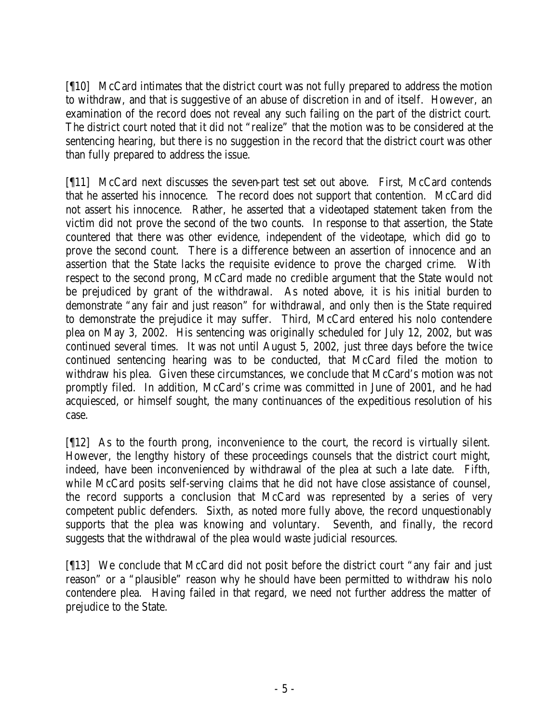[¶10] McCard intimates that the district court was not fully prepared to address the motion to withdraw, and that is suggestive of an abuse of discretion in and of itself. However, an examination of the record does not reveal any such failing on the part of the district court. The district court noted that it did not "realize" that the motion was to be considered at the sentencing hearing, but there is no suggestion in the record that the district court was other than fully prepared to address the issue.

[¶11] McCard next discusses the seven-part test set out above. First, McCard contends that he asserted his innocence. The record does not support that contention. McCard did not assert his innocence. Rather, he asserted that a videotaped statement taken from the victim did not prove the second of the two counts. In response to that assertion, the State countered that there was other evidence, independent of the videotape, which did go to prove the second count. There is a difference between an assertion of innocence and an assertion that the State lacks the requisite evidence to prove the charged crime. With respect to the second prong, McCard made no credible argument that the State would not be prejudiced by grant of the withdrawal. As noted above, it is his initial burden to demonstrate "any fair and just reason" for withdrawal, and only then is the State required to demonstrate the prejudice it may suffer. Third, McCard entered his nolo contendere plea on May 3, 2002. His sentencing was originally scheduled for July 12, 2002, but was continued several times. It was not until August 5, 2002, just three days before the twice continued sentencing hearing was to be conducted, that McCard filed the motion to withdraw his plea. Given these circumstances, we conclude that McCard's motion was not promptly filed. In addition, McCard's crime was committed in June of 2001, and he had acquiesced, or himself sought, the many continuances of the expeditious resolution of his case.

[¶12] As to the fourth prong, inconvenience to the court, the record is virtually silent. However, the lengthy history of these proceedings counsels that the district court might, indeed, have been inconvenienced by withdrawal of the plea at such a late date. Fifth, while McCard posits self-serving claims that he did not have close assistance of counsel, the record supports a conclusion that McCard was represented by a series of very competent public defenders. Sixth, as noted more fully above, the record unquestionably supports that the plea was knowing and voluntary. Seventh, and finally, the record suggests that the withdrawal of the plea would waste judicial resources.

[¶13] We conclude that McCard did not posit before the district court "any fair and just reason" or a "plausible" reason why he should have been permitted to withdraw his nolo contendere plea. Having failed in that regard, we need not further address the matter of prejudice to the State.